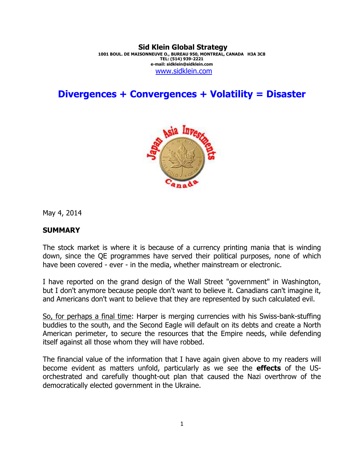#### **Sid Klein Global Strategy 1001 BOUL. DE MAISONNEUVE O., BUREAU 950, MONTREAL, CANADA H3A 3C8 TEL: (514) 939-2221 e-mail: sidklein@sidklein.com**  www.sidklein.com

**Divergences + Convergences + Volatility = Disaster** 



May 4, 2014

### **SUMMARY**

The stock market is where it is because of a currency printing mania that is winding down, since the QE programmes have served their political purposes, none of which have been covered - ever - in the media, whether mainstream or electronic.

I have reported on the grand design of the Wall Street "government" in Washington, but I don't anymore because people don't want to believe it. Canadians can't imagine it, and Americans don't want to believe that they are represented by such calculated evil.

So, for perhaps a final time: Harper is merging currencies with his Swiss-bank-stuffing buddies to the south, and the Second Eagle will default on its debts and create a North American perimeter, to secure the resources that the Empire needs, while defending itself against all those whom they will have robbed.

The financial value of the information that I have again given above to my readers will become evident as matters unfold, particularly as we see the **effects** of the USorchestrated and carefully thought-out plan that caused the Nazi overthrow of the democratically elected government in the Ukraine.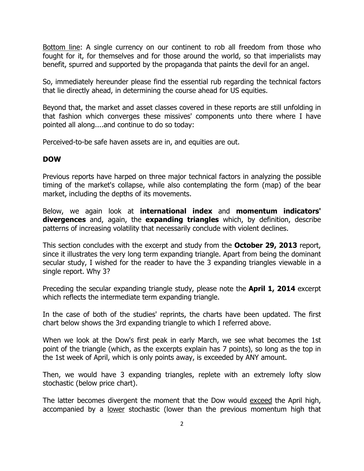Bottom line: A single currency on our continent to rob all freedom from those who fought for it, for themselves and for those around the world, so that imperialists may benefit, spurred and supported by the propaganda that paints the devil for an angel.

So, immediately hereunder please find the essential rub regarding the technical factors that lie directly ahead, in determining the course ahead for US equities.

Beyond that, the market and asset classes covered in these reports are still unfolding in that fashion which converges these missives' components unto there where I have pointed all along....and continue to do so today:

Perceived-to-be safe haven assets are in, and equities are out.

## **DOW**

Previous reports have harped on three major technical factors in analyzing the possible timing of the market's collapse, while also contemplating the form (map) of the bear market, including the depths of its movements.

Below, we again look at **international index** and **momentum indicators' divergences** and, again, the **expanding triangles** which, by definition, describe patterns of increasing volatility that necessarily conclude with violent declines.

This section concludes with the excerpt and study from the **October 29, 2013** report, since it illustrates the very long term expanding triangle. Apart from being the dominant secular study, I wished for the reader to have the 3 expanding triangles viewable in a single report. Why 3?

Preceding the secular expanding triangle study, please note the **April 1, 2014** excerpt which reflects the intermediate term expanding triangle.

In the case of both of the studies' reprints, the charts have been updated. The first chart below shows the 3rd expanding triangle to which I referred above.

When we look at the Dow's first peak in early March, we see what becomes the 1st point of the triangle (which, as the excerpts explain has 7 points), so long as the top in the 1st week of April, which is only points away, is exceeded by ANY amount.

Then, we would have 3 expanding triangles, replete with an extremely lofty slow stochastic (below price chart).

The latter becomes divergent the moment that the Dow would exceed the April high, accompanied by a lower stochastic (lower than the previous momentum high that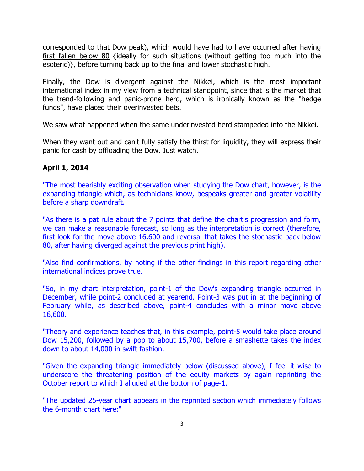corresponded to that Dow peak), which would have had to have occurred after having first fallen below 80 {ideally for such situations (without getting too much into the esoteric)}, before turning back  $\mu$  to the final and lower stochastic high.

Finally, the Dow is divergent against the Nikkei, which is the most important international index in my view from a technical standpoint, since that is the market that the trend-following and panic-prone herd, which is ironically known as the "hedge funds", have placed their overinvested bets.

We saw what happened when the same underinvested herd stampeded into the Nikkei.

When they want out and can't fully satisfy the thirst for liquidity, they will express their panic for cash by offloading the Dow. Just watch.

# **April 1, 2014**

"The most bearishly exciting observation when studying the Dow chart, however, is the expanding triangle which, as technicians know, bespeaks greater and greater volatility before a sharp downdraft.

"As there is a pat rule about the 7 points that define the chart's progression and form, we can make a reasonable forecast, so long as the interpretation is correct (therefore, first look for the move above 16,600 and reversal that takes the stochastic back below 80, after having diverged against the previous print high).

"Also find confirmations, by noting if the other findings in this report regarding other international indices prove true.

"So, in my chart interpretation, point-1 of the Dow's expanding triangle occurred in December, while point-2 concluded at yearend. Point-3 was put in at the beginning of February while, as described above, point-4 concludes with a minor move above 16,600.

"Theory and experience teaches that, in this example, point-5 would take place around Dow 15,200, followed by a pop to about 15,700, before a smashette takes the index down to about 14,000 in swift fashion.

"Given the expanding triangle immediately below (discussed above), I feel it wise to underscore the threatening position of the equity markets by again reprinting the October report to which I alluded at the bottom of page-1.

"The updated 25-year chart appears in the reprinted section which immediately follows the 6-month chart here:"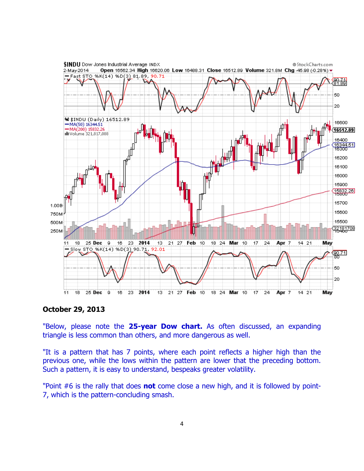

### **October 29, 2013**

"Below, please note the **25-year Dow chart.** As often discussed, an expanding triangle is less common than others, and more dangerous as well.

"It is a pattern that has 7 points, where each point reflects a higher high than the previous one, while the lows within the pattern are lower that the preceding bottom. Such a pattern, it is easy to understand, bespeaks greater volatility.

"Point #6 is the rally that does **not** come close a new high, and it is followed by point-7, which is the pattern-concluding smash.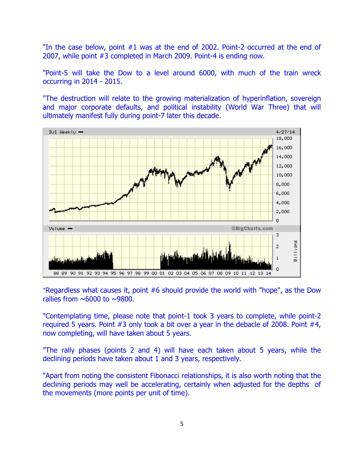"In the case below, point #1 was at the end of 2002. Point-2 occurred at the end of 2007, while point #3 completed in March 2009. Point-4 is ending now.

"Point-5 will take the Dow to a level around 6000, with much of the train wreck occurring in 2014 - 2015.

"The destruction will relate to the growing materialization of hyperinflation, sovereign and major corporate defaults, and political instability (World War Three) that will ultimately manifest fully during point-7 later this decade.



"Regardless what causes it, point #6 should provide the world with "hope", as the Dow rallies from  $\sim 6000$  to  $\sim 9800$ .

"Contemplating time, please note that point-1 took 3 years to complete, while point-2 required 5 years. Point #3 only took a bit over a year in the debacle of 2008. Point #4, now completing, will have taken about 5 years.

"The rally phases (points 2 and 4) will have each taken about 5 years, while the declining periods have taken about 1 and 3 years, respectively.

"Apart from noting the consistent Fibonacci relationships, it is also worth noting that the declining periods may well be accelerating, certainly when adjusted for the depths of the movements (more points per unit of time).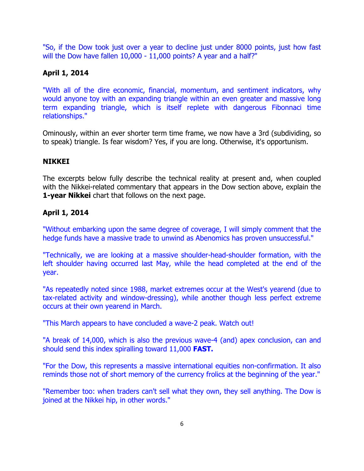"So, if the Dow took just over a year to decline just under 8000 points, just how fast will the Dow have fallen 10,000 - 11,000 points? A year and a half?"

# **April 1, 2014**

"With all of the dire economic, financial, momentum, and sentiment indicators, why would anyone toy with an expanding triangle within an even greater and massive long term expanding triangle, which is itself replete with dangerous Fibonnaci time relationships."

Ominously, within an ever shorter term time frame, we now have a 3rd (subdividing, so to speak) triangle. Is fear wisdom? Yes, if you are long. Otherwise, it's opportunism.

### **NIKKEI**

The excerpts below fully describe the technical reality at present and, when coupled with the Nikkei-related commentary that appears in the Dow section above, explain the **1-year Nikkei** chart that follows on the next page.

## **April 1, 2014**

"Without embarking upon the same degree of coverage, I will simply comment that the hedge funds have a massive trade to unwind as Abenomics has proven unsuccessful."

"Technically, we are looking at a massive shoulder-head-shoulder formation, with the left shoulder having occurred last May, while the head completed at the end of the year.

"As repeatedly noted since 1988, market extremes occur at the West's yearend (due to tax-related activity and window-dressing), while another though less perfect extreme occurs at their own yearend in March.

"This March appears to have concluded a wave-2 peak. Watch out!

"A break of 14,000, which is also the previous wave-4 (and) apex conclusion, can and should send this index spiralling toward 11,000 **FAST.** 

"For the Dow, this represents a massive international equities non-confirmation. It also reminds those not of short memory of the currency frolics at the beginning of the year."

"Remember too: when traders can't sell what they own, they sell anything. The Dow is joined at the Nikkei hip, in other words."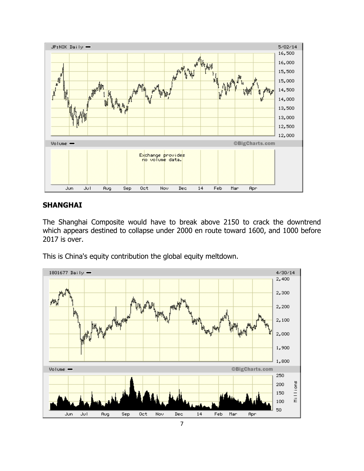

### **SHANGHAI**

The Shanghai Composite would have to break above 2150 to crack the downtrend which appears destined to collapse under 2000 en route toward 1600, and 1000 before 2017 is over.

This is China's equity contribution the global equity meltdown.

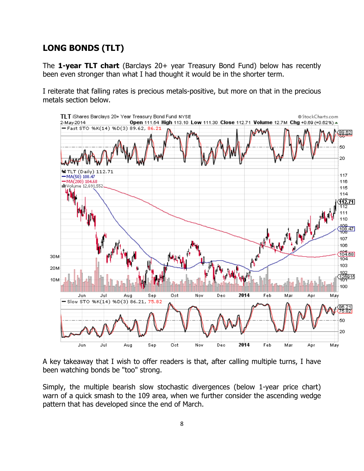# **LONG BONDS (TLT)**

The **1-year TLT chart** (Barclays 20+ year Treasury Bond Fund) below has recently been even stronger than what I had thought it would be in the shorter term.

I reiterate that falling rates is precious metals-positive, but more on that in the precious metals section below.



A key takeaway that I wish to offer readers is that, after calling multiple turns, I have been watching bonds be "too" strong.

Simply, the multiple bearish slow stochastic divergences (below 1-year price chart) warn of a quick smash to the 109 area, when we further consider the ascending wedge pattern that has developed since the end of March.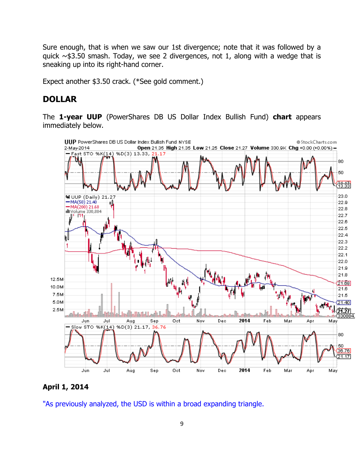Sure enough, that is when we saw our 1st divergence; note that it was followed by a quick  $\sim$  \$3.50 smash. Today, we see 2 divergences, not 1, along with a wedge that is sneaking up into its right-hand corner.

Expect another \$3.50 crack. (\*See gold comment.)

# **DOLLAR**

The **1-year UUP** (PowerShares DB US Dollar Index Bullish Fund) **chart** appears immediately below.



### **April 1, 2014**

"As previously analyzed, the USD is within a broad expanding triangle.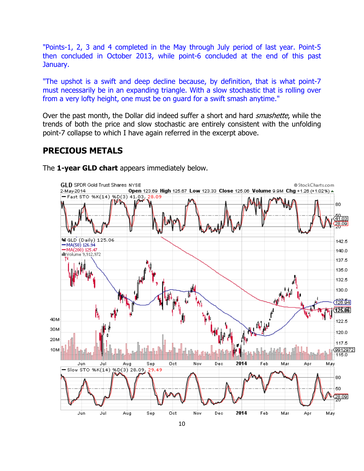"Points-1, 2, 3 and 4 completed in the May through July period of last year. Point-5 then concluded in October 2013, while point-6 concluded at the end of this past January.

"The upshot is a swift and deep decline because, by definition, that is what point-7 must necessarily be in an expanding triangle. With a slow stochastic that is rolling over from a very lofty height, one must be on guard for a swift smash anytime."

Over the past month, the Dollar did indeed suffer a short and hard *smashette*, while the trends of both the price and slow stochastic are entirely consistent with the unfolding point-7 collapse to which I have again referred in the excerpt above.

# **PRECIOUS METALS**



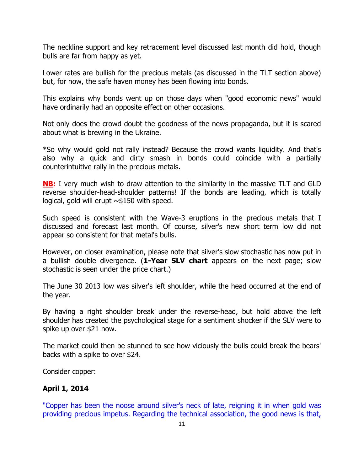The neckline support and key retracement level discussed last month did hold, though bulls are far from happy as yet.

Lower rates are bullish for the precious metals (as discussed in the TLT section above) but, for now, the safe haven money has been flowing into bonds.

This explains why bonds went up on those days when "good economic news" would have ordinarily had an opposite effect on other occasions.

Not only does the crowd doubt the goodness of the news propaganda, but it is scared about what is brewing in the Ukraine.

\*So why would gold not rally instead? Because the crowd wants liquidity. And that's also why a quick and dirty smash in bonds could coincide with a partially counterintuitive rally in the precious metals.

**NB:** I very much wish to draw attention to the similarity in the massive TLT and GLD reverse shoulder-head-shoulder patterns! If the bonds are leading, which is totally logical, gold will erupt  $\sim$ \$150 with speed.

Such speed is consistent with the Wave-3 eruptions in the precious metals that I discussed and forecast last month. Of course, silver's new short term low did not appear so consistent for that metal's bulls.

However, on closer examination, please note that silver's slow stochastic has now put in a bullish double divergence. (**1-Year SLV chart** appears on the next page; slow stochastic is seen under the price chart.)

The June 30 2013 low was silver's left shoulder, while the head occurred at the end of the year.

By having a right shoulder break under the reverse-head, but hold above the left shoulder has created the psychological stage for a sentiment shocker if the SLV were to spike up over \$21 now.

The market could then be stunned to see how viciously the bulls could break the bears' backs with a spike to over \$24.

Consider copper:

# **April 1, 2014**

"Copper has been the noose around silver's neck of late, reigning it in when gold was providing precious impetus. Regarding the technical association, the good news is that,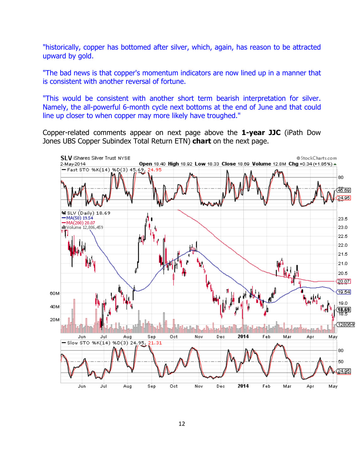"historically, copper has bottomed after silver, which, again, has reason to be attracted upward by gold.

"The bad news is that copper's momentum indicators are now lined up in a manner that is consistent with another reversal of fortune.

"This would be consistent with another short term bearish interpretation for silver. Namely, the all-powerful 6-month cycle next bottoms at the end of June and that could line up closer to when copper may more likely have troughed."

Copper-related comments appear on next page above the **1-year JJC** (iPath Dow Jones UBS Copper Subindex Total Return ETN) **chart** on the next page.

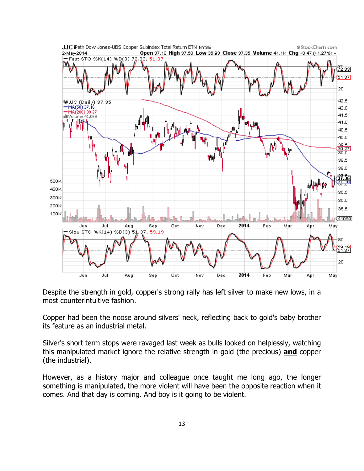

Despite the strength in gold, copper's strong rally has left silver to make new lows, in a most counterintuitive fashion.

Copper had been the noose around silvers' neck, reflecting back to gold's baby brother its feature as an industrial metal.

Silver's short term stops were ravaged last week as bulls looked on helplessly, watching this manipulated market ignore the relative strength in gold (the precious) **and** copper (the industrial).

However, as a history major and colleague once taught me long ago, the longer something is manipulated, the more violent will have been the opposite reaction when it comes. And that day is coming. And boy is it going to be violent.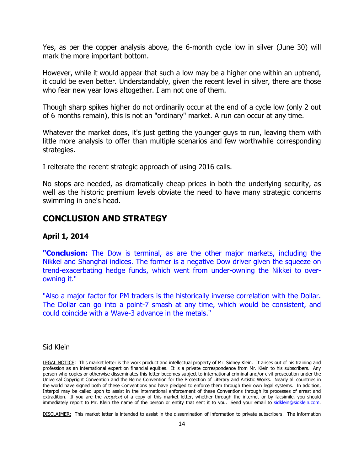Yes, as per the copper analysis above, the 6-month cycle low in silver (June 30) will mark the more important bottom.

However, while it would appear that such a low may be a higher one within an uptrend, it could be even better. Understandably, given the recent level in silver, there are those who fear new year lows altogether. I am not one of them.

Though sharp spikes higher do not ordinarily occur at the end of a cycle low (only 2 out of 6 months remain), this is not an "ordinary" market. A run can occur at any time.

Whatever the market does, it's just getting the younger guys to run, leaving them with little more analysis to offer than multiple scenarios and few worthwhile corresponding strategies.

I reiterate the recent strategic approach of using 2016 calls.

No stops are needed, as dramatically cheap prices in both the underlying security, as well as the historic premium levels obviate the need to have many strategic concerns swimming in one's head.

# **CONCLUSION AND STRATEGY**

### **April 1, 2014**

**"Conclusion:** The Dow is terminal, as are the other major markets, including the Nikkei and Shanghai indices. The former is a negative Dow driver given the squeeze on trend-exacerbating hedge funds, which went from under-owning the Nikkei to overowning it."

"Also a major factor for PM traders is the historically inverse correlation with the Dollar. The Dollar can go into a point-7 smash at any time, which would be consistent, and could coincide with a Wave-3 advance in the metals."

#### Sid Klein

LEGAL NOTICE: This market letter is the work product and intellectual property of Mr. Sidney Klein. It arises out of his training and profession as an international expert on financial equities. It is a private correspondence from Mr. Klein to his subscribers. Any person who copies or otherwise disseminates this letter becomes subject to international criminal and/or civil prosecution under the Universal Copyright Convention and the Berne Convention for the Protection of Literary and Artistic Works. Nearly all countries in the world have signed both of these Conventions and have pledged to enforce them through their own legal systems. In addition, Interpol may be called upon to assist in the international enforcement of these Conventions through its processes of arrest and extradition. If you are the *recipient* of a copy of this market letter, whether through the internet or by facsimile, you should immediately report to Mr. Klein the name of the person or entity that sent it to you. Send your email to sidklein@sidklein.com.

DISCLAIMER: This market letter is intended to assist in the dissemination of information to private subscribers. The information